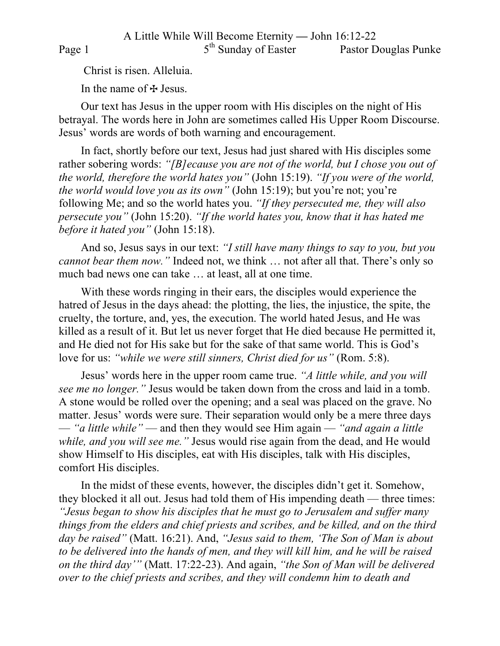Christ is risen. Alleluia.

In the name of  $\pm$  Jesus.

Our text has Jesus in the upper room with His disciples on the night of His betrayal. The words here in John are sometimes called His Upper Room Discourse. Jesus' words are words of both warning and encouragement.

In fact, shortly before our text, Jesus had just shared with His disciples some rather sobering words: *"[B]ecause you are not of the world, but I chose you out of the world, therefore the world hates you"* (John 15:19). *"If you were of the world, the world would love you as its own"* (John 15:19); but you're not; you're following Me; and so the world hates you. *"If they persecuted me, they will also persecute you"* (John 15:20). *"If the world hates you, know that it has hated me before it hated you"* (John 15:18).

And so, Jesus says in our text: *"I still have many things to say to you, but you cannot bear them now.*" Indeed not, we think ... not after all that. There's only so much bad news one can take … at least, all at one time.

With these words ringing in their ears, the disciples would experience the hatred of Jesus in the days ahead: the plotting, the lies, the injustice, the spite, the cruelty, the torture, and, yes, the execution. The world hated Jesus, and He was killed as a result of it. But let us never forget that He died because He permitted it, and He died not for His sake but for the sake of that same world. This is God's love for us: *"while we were still sinners, Christ died for us"* (Rom. 5:8).

Jesus' words here in the upper room came true. *"A little while, and you will see me no longer."* Jesus would be taken down from the cross and laid in a tomb. A stone would be rolled over the opening; and a seal was placed on the grave. No matter. Jesus' words were sure. Their separation would only be a mere three days — *"a little while"* — and then they would see Him again — *"and again a little while, and you will see me."* Jesus would rise again from the dead, and He would show Himself to His disciples, eat with His disciples, talk with His disciples, comfort His disciples.

In the midst of these events, however, the disciples didn't get it. Somehow, they blocked it all out. Jesus had told them of His impending death — three times: *"Jesus began to show his disciples that he must go to Jerusalem and suffer many things from the elders and chief priests and scribes, and be killed, and on the third day be raised"* (Matt. 16:21). And, *"Jesus said to them, 'The Son of Man is about*  to be delivered into the hands of men, and they will kill him, and he will be raised *on the third day'"* (Matt. 17:22-23). And again, *"the Son of Man will be delivered over to the chief priests and scribes, and they will condemn him to death and*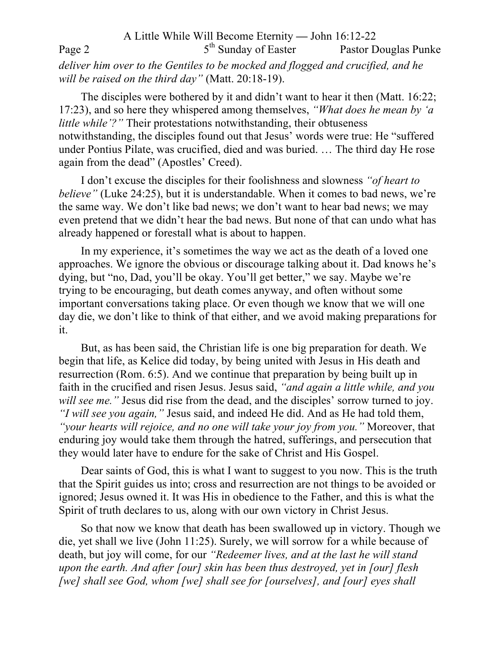A Little While Will Become Eternity **—** John 16:12-22 Page 2 5<sup>th</sup> Sunday of Easter Pastor Douglas Punke *deliver him over to the Gentiles to be mocked and flogged and crucified, and he will be raised on the third day"* (Matt. 20:18-19).

The disciples were bothered by it and didn't want to hear it then (Matt. 16:22; 17:23), and so here they whispered among themselves, *"What does he mean by 'a little while'?"* Their protestations notwithstanding, their obtuseness notwithstanding, the disciples found out that Jesus' words were true: He "suffered under Pontius Pilate, was crucified, died and was buried. … The third day He rose again from the dead" (Apostles' Creed).

I don't excuse the disciples for their foolishness and slowness *"of heart to believe"* (Luke 24:25), but it is understandable. When it comes to bad news, we're the same way. We don't like bad news; we don't want to hear bad news; we may even pretend that we didn't hear the bad news. But none of that can undo what has already happened or forestall what is about to happen.

In my experience, it's sometimes the way we act as the death of a loved one approaches. We ignore the obvious or discourage talking about it. Dad knows he's dying, but "no, Dad, you'll be okay. You'll get better," we say. Maybe we're trying to be encouraging, but death comes anyway, and often without some important conversations taking place. Or even though we know that we will one day die, we don't like to think of that either, and we avoid making preparations for it.

But, as has been said, the Christian life is one big preparation for death. We begin that life, as Kelice did today, by being united with Jesus in His death and resurrection (Rom. 6:5). And we continue that preparation by being built up in faith in the crucified and risen Jesus. Jesus said, *"and again a little while, and you will see me.*" Jesus did rise from the dead, and the disciples' sorrow turned to joy. *"I will see you again,"* Jesus said, and indeed He did. And as He had told them, *"your hearts will rejoice, and no one will take your joy from you."* Moreover, that enduring joy would take them through the hatred, sufferings, and persecution that they would later have to endure for the sake of Christ and His Gospel.

Dear saints of God, this is what I want to suggest to you now. This is the truth that the Spirit guides us into; cross and resurrection are not things to be avoided or ignored; Jesus owned it. It was His in obedience to the Father, and this is what the Spirit of truth declares to us, along with our own victory in Christ Jesus.

So that now we know that death has been swallowed up in victory. Though we die, yet shall we live (John 11:25). Surely, we will sorrow for a while because of death, but joy will come, for our *"Redeemer lives, and at the last he will stand upon the earth. And after [our] skin has been thus destroyed, yet in [our] flesh [we] shall see God, whom [we] shall see for [ourselves], and [our] eyes shall*